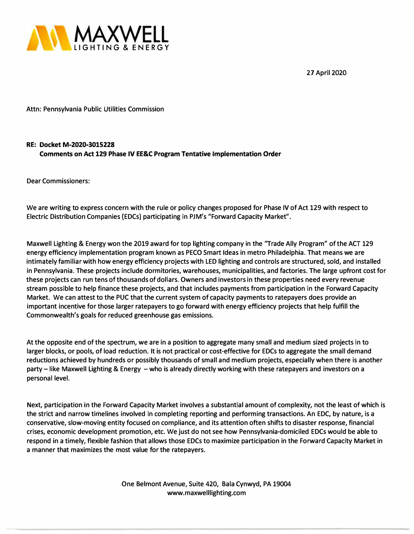**27 April 2020** 



**Attn: Pennsylvania Public Utilities Commission** 

## **RE: Docket M-2020-3015228 Comments on Act 129 Phase IV EE&C Program Tentative Implementation Order**

**Dear Commissioners:** 

**We are writing to express concern with the rule or policy changes proposed for Phase IV of Act 129 with respect to Electric Distribution Companies (EDCs) participating in PJM's "Forward Capacity Market".** 

**Maxwell Lighting & Energy won the 2019 award for top lighting company in the "Trade Ally Program" of the ACT 129 energy efficiency implementation program known as PECO Smart Ideas in metro Philadelphia. That means we are intimately familiar with how energy efficiency projects with LED lighting and controls are structured, sold, and installed in Pennsylvania. These projects include dormitories, warehouses, municipalities, and factories. The large upfront cost for these projects can run tens of thousands of dollars. Owners and investors in these properties need every revenue stream possible to help finance these projects, and that includes payments from participation in the Forward Capacity Market. We can attest to the PUC that the current system of capacity payments to ratepayers does provide an important incentive for those larger ratepayers to go forward with energy efficiency projects that help fulfill the Commonwealth's goals for reduced greenhouse gas emissions.** 

**At the opposite end of the spectrum, we are in a position to aggregate many small and medium sized projects in to larger blocks, or pools, of load reduction. It is not practical or cost-effective for EDCs to aggregate the small demand reductions achieved by hundreds or possibly thousands of small and medium projects, especially when there is another party - like Maxwell Lighting & Energy - who is already directly working with these ratepayers and investors on a personal level.** 

**Next, participation in the Forward Capacity Market involves a substantial amount of complexity, not the least of which is the strict and narrow tirhelines involved in completing reporting and performing transactions. An EDC, by nature, is a conservative, slow-moving entity focused on compliance, and its attention often shifts to disaster response, financial crises, economic development promotion, etc. We just do not see how Pennsylvania-domiciled EDCs would be able to respond in a timely, flexible fashion that allows those EDCs to maximize participation in the Forward Capacity Market in a manner that maximizes the most value for the ratepayers.** 

> **One Belmont Avenue, Suite 420, Bala Cynwyd, PA 19004 www.maxwelllighting.com**